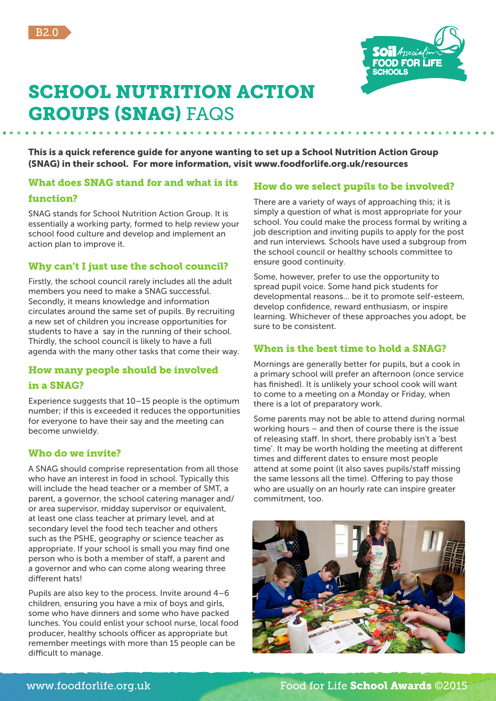



# SCHOOL NUTRITION ACTION GROUPS (SNAG) FAQS

This is a quick reference guide for anyone wanting to set up a School Nutrition Action Group (SNAG) in their school. For more information, visit www.foodforlife.org.uk/resources

## What does SNAG stand for and what is its

## function?

SNAG stands for School Nutrition Action Group. It is essentially a working party, formed to help review your school food culture and develop and implement an action plan to improve it.

## Why can't I just use the school council?

Firstly, the school council rarely includes all the adult members you need to make a SNAG successful. Secondly, it means knowledge and information circulates around the same set of pupils. By recruiting a new set of children you increase opportunities for students to have a say in the running of their school. Thirdly, the school council is likely to have a full agenda with the many other tasks that come their way.

## How many people should be involved

#### in a SNAG?

Experience suggests that 10–15 people is the optimum number; if this is exceeded it reduces the opportunities for everyone to have their say and the meeting can become unwieldy.

## Who do we invite?

A SNAG should comprise representation from all those who have an interest in food in school. Typically this will include the head teacher or a member of SMT, a parent, a governor, the school catering manager and/ or area supervisor, midday supervisor or equivalent, at least one class teacher at primary level, and at secondary level the food tech teacher and others such as the PSHE, geography or science teacher as appropriate. If your school is small you may find one person who is both a member of staff, a parent and a governor and who can come along wearing three different hats!

Pupils are also key to the process. Invite around 4–6 children, ensuring you have a mix of boys and girls, some who have dinners and some who have packed lunches. You could enlist your school nurse, local food producer, healthy schools officer as appropriate but remember meetings with more than 15 people can be difficult to manage.

# How do we select pupils to be involved?

There are a variety of ways of approaching this; it is simply a question of what is most appropriate for your school. You could make the process formal by writing a job description and inviting pupils to apply for the post and run interviews. Schools have used a subgroup from the school council or healthy schools committee to ensure good continuity.

Some, however, prefer to use the opportunity to spread pupil voice. Some hand pick students for developmental reasons... be it to promote self-esteem, develop confidence, reward enthusiasm, or inspire learning. Whichever of these approaches you adopt, be sure to be consistent.

## When is the best time to hold a SNAG?

Mornings are generally better for pupils, but a cook in a primary school will prefer an afternoon (once service has finished). It is unlikely your school cook will want to come to a meeting on a Monday or Friday, when there is a lot of preparatory work.

Some parents may not be able to attend during normal working hours – and then of course there is the issue of releasing staff. In short, there probably isn't a 'best time'. It may be worth holding the meeting at different times and different dates to ensure most people attend at some point (it also saves pupils/staff missing the same lessons all the time). Offering to pay those who are usually on an hourly rate can inspire greater commitment, too.